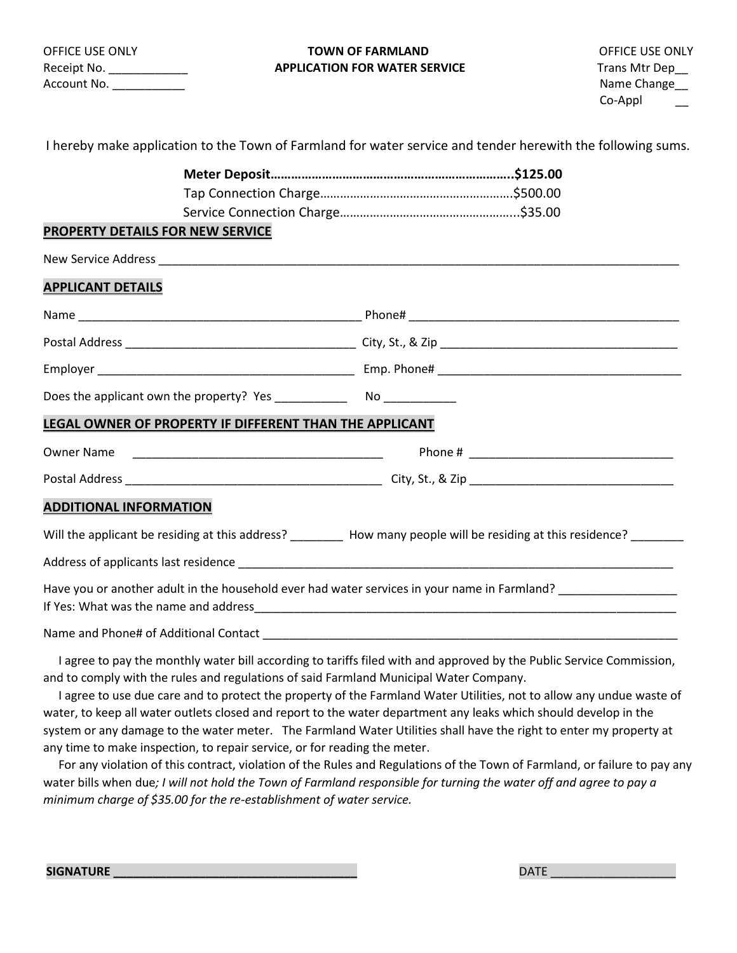| <b>OFFICE USE ONLY</b> |  |
|------------------------|--|
| Receipt No.            |  |
| Account No.            |  |

## **TOWN OF FARMLAND DEVICE USE ONLY APPLICATION FOR WATER SERVICE TRANSIGE TRANSIGE TRANSIGE TRANSIGE TRANSIGE TRANSIGE TRANSIGE TRANSIGE TRANSIGE**

|                                                                                        | I hereby make application to the Town of Farmland for water service and tender herewith the following sums.          |
|----------------------------------------------------------------------------------------|----------------------------------------------------------------------------------------------------------------------|
|                                                                                        |                                                                                                                      |
|                                                                                        |                                                                                                                      |
|                                                                                        |                                                                                                                      |
| <b>PROPERTY DETAILS FOR NEW SERVICE</b>                                                |                                                                                                                      |
|                                                                                        |                                                                                                                      |
| <b>APPLICANT DETAILS</b>                                                               |                                                                                                                      |
|                                                                                        |                                                                                                                      |
|                                                                                        |                                                                                                                      |
|                                                                                        |                                                                                                                      |
|                                                                                        |                                                                                                                      |
| LEGAL OWNER OF PROPERTY IF DIFFERENT THAN THE APPLICANT                                |                                                                                                                      |
|                                                                                        |                                                                                                                      |
|                                                                                        |                                                                                                                      |
| <b>ADDITIONAL INFORMATION</b>                                                          |                                                                                                                      |
|                                                                                        | Will the applicant be residing at this address? ________ How many people will be residing at this residence? _______ |
|                                                                                        |                                                                                                                      |
|                                                                                        | Have you or another adult in the household ever had water services in your name in Farmland? _________________       |
|                                                                                        |                                                                                                                      |
| and to comply with the rules and regulations of said Farmland Municipal Water Company. | I agree to pay the monthly water bill according to tariffs filed with and approved by the Public Service Commission, |

 I agree to use due care and to protect the property of the Farmland Water Utilities, not to allow any undue waste of water, to keep all water outlets closed and report to the water department any leaks which should develop in the system or any damage to the water meter. The Farmland Water Utilities shall have the right to enter my property at any time to make inspection, to repair service, or for reading the meter.

 For any violation of this contract, violation of the Rules and Regulations of the Town of Farmland, or failure to pay any water bills when due*; I will not hold the Town of Farmland responsible for turning the water off and agree to pay a minimum charge of \$35.00 for the re-establishment of water service.*

**SIGNATURE \_\_\_\_\_\_\_\_\_\_\_\_\_\_\_\_\_\_\_\_\_\_\_\_\_\_\_\_\_\_\_\_\_\_\_\_\_** DATE \_\_\_\_\_\_\_\_\_\_\_\_\_\_\_\_\_\_\_